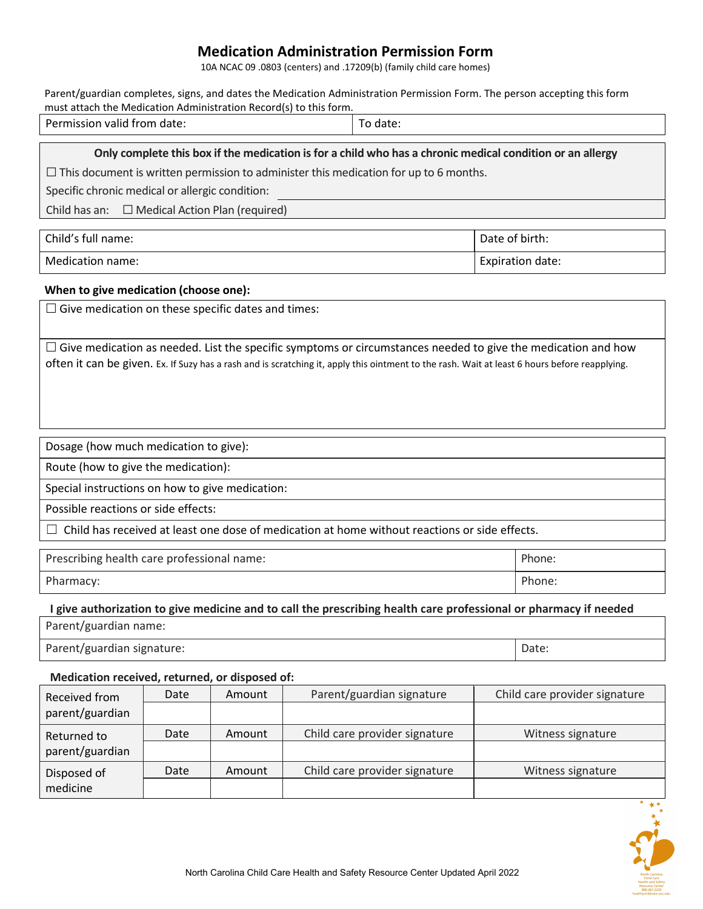## **Medication Administration Permission Form**

10A NCAC 09 .0803 (centers) and .17209(b) (family child care homes)

| Parent/guardian completes, signs, and dates the Medication Administration Permission Form. The person accepting this form |                        |  |  |  |
|---------------------------------------------------------------------------------------------------------------------------|------------------------|--|--|--|
| must attach the Medication Administration Record(s) to this form.                                                         |                        |  |  |  |
| Dormiccion unlid from doto:                                                                                               | $T \sim \text{dation}$ |  |  |  |

| Permission valid from date: | ວ date: |
|-----------------------------|---------|
|                             |         |

## **Only complete this box if the medication is for a child who has a chronic medical condition or an allergy**

 $\Box$  This document is written permission to administer this medication for up to 6 months.

Specific chronic medical or allergic condition:

Child has an:  $\Box$  Medical Action Plan (required)

| Child's full name: | Date of birth:   |
|--------------------|------------------|
| Medication name:   | Expiration date: |

## **When to give medication (choose one):**

 $\square$  Give medication on these specific dates and times:

 $\Box$  Give medication as needed. List the specific symptoms or circumstances needed to give the medication and how often it can be given. Ex. If Suzy has a rash and is scratching it, apply this ointment to the rash. Wait at least 6 hours before reapplying.

Dosage (how much medication to give):

Route (how to give the medication):

Special instructions on how to give medication:

Possible reactions or side effects:

 $\Box$  Child has received at least one dose of medication at home without reactions or side effects.

| Prescribing health care professional name: | Phone: |
|--------------------------------------------|--------|
| Pharmacy:                                  | Phone: |

## **I give authorization to give medicine and to call the prescribing health care professional or pharmacy if needed**

Parent/guardian name:

Parent/guardian signature: **Date:** Date: Date: Date: Date: Date: Date: Date: Date: Date: Date: Date: Date: Date: Date: Date: Date: Date: Date: Date: Date: Date: Date: Date: Date: Date: Date: Date: Date: Date: Date: Date: D

## **Medication received, returned, or disposed of:**

| Received from<br>parent/guardian | Date | Amount | Parent/guardian signature     | Child care provider signature |
|----------------------------------|------|--------|-------------------------------|-------------------------------|
|                                  |      |        |                               |                               |
| Returned to                      | Date | Amount | Child care provider signature | Witness signature             |
| parent/guardian                  |      |        |                               |                               |
| Disposed of<br>medicine          | Date | Amount | Child care provider signature | Witness signature             |
|                                  |      |        |                               |                               |